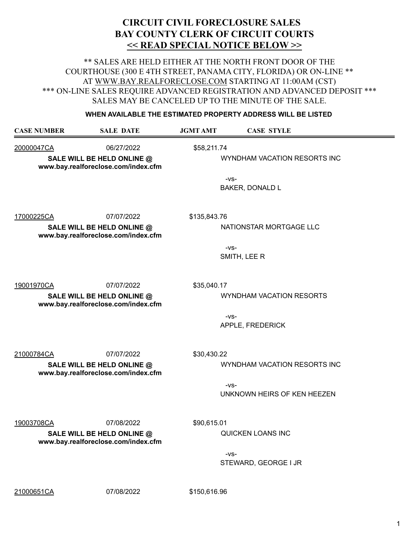\*\* SALES ARE HELD EITHER AT THE NORTH FRONT DOOR OF THE COURTHOUSE (300 E 4TH STREET, PANAMA CITY, FLORIDA) OR ON-LINE \*\* AT WWW.BAY.REALFORECLOSE.COM STARTING AT 11:00AM (CST) \*\*\* ON-LINE SALES REQUIRE ADVANCED REGISTRATION AND ADVANCED DEPOSIT \*\*\* SALES MAY BE CANCELED UP TO THE MINUTE OF THE SALE.

#### **WHEN AVAILABLE THE ESTIMATED PROPERTY ADDRESS WILL BE LISTED**

| <b>CASE NUMBER</b> | <b>SALE DATE</b>                                                                | <b>JGMT AMT</b> | <b>CASE STYLE</b>                                                     |
|--------------------|---------------------------------------------------------------------------------|-----------------|-----------------------------------------------------------------------|
| 20000047CA         | 06/27/2022<br>SALE WILL BE HELD ONLINE @<br>www.bay.realforeclose.com/index.cfm | \$58,211.74     | WYNDHAM VACATION RESORTS INC<br>$-VS-$<br><b>BAKER, DONALD L</b>      |
| 17000225CA         | 07/07/2022<br>SALE WILL BE HELD ONLINE @<br>www.bay.realforeclose.com/index.cfm | \$135,843.76    | NATIONSTAR MORTGAGE LLC<br>$-VS-$<br>SMITH, LEE R                     |
| 19001970CA         | 07/07/2022<br>SALE WILL BE HELD ONLINE @<br>www.bay.realforeclose.com/index.cfm | \$35,040.17     | WYNDHAM VACATION RESORTS<br>$-VS-$<br>APPLE, FREDERICK                |
| 21000784CA         | 07/07/2022<br>SALE WILL BE HELD ONLINE @<br>www.bay.realforeclose.com/index.cfm | \$30,430.22     | WYNDHAM VACATION RESORTS INC<br>$-VS-$<br>UNKNOWN HEIRS OF KEN HEEZEN |
| 19003708CA         | 07/08/2022<br>SALE WILL BE HELD ONLINE @<br>www.bay.realforeclose.com/index.cfm | \$90,615.01     | QUICKEN LOANS INC<br>$-VS-$<br>STEWARD, GEORGE I JR                   |

21000651CA 07/08/2022 \$150,616.96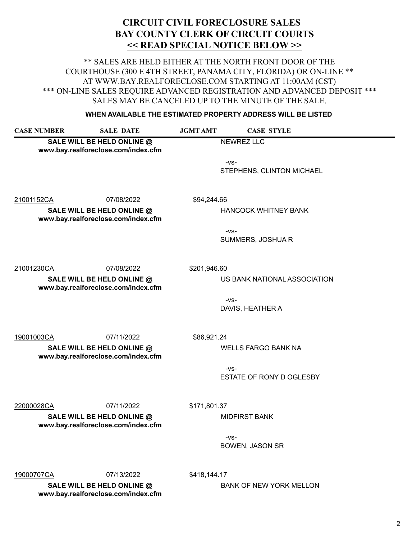\*\* SALES ARE HELD EITHER AT THE NORTH FRONT DOOR OF THE COURTHOUSE (300 E 4TH STREET, PANAMA CITY, FLORIDA) OR ON-LINE \*\* AT WWW.BAY.REALFORECLOSE.COM STARTING AT 11:00AM (CST) \*\*\* ON-LINE SALES REQUIRE ADVANCED REGISTRATION AND ADVANCED DEPOSIT \*\*\* SALES MAY BE CANCELED UP TO THE MINUTE OF THE SALE.

#### **WHEN AVAILABLE THE ESTIMATED PROPERTY ADDRESS WILL BE LISTED**

| <b>CASE NUMBER</b>                                                | <b>SALE DATE</b> | <b>JGMT AMT</b> | <b>CASE STYLE</b>                   |  |
|-------------------------------------------------------------------|------------------|-----------------|-------------------------------------|--|
| SALE WILL BE HELD ONLINE @<br>www.bay.realforeclose.com/index.cfm |                  |                 | <b>NEWREZ LLC</b>                   |  |
|                                                                   |                  |                 | $-VS-$<br>STEPHENS, CLINTON MICHAEL |  |
| 21001152CA                                                        | 07/08/2022       | \$94,244.66     |                                     |  |
| SALE WILL BE HELD ONLINE @<br>www.bay.realforeclose.com/index.cfm |                  |                 | <b>HANCOCK WHITNEY BANK</b>         |  |
|                                                                   |                  |                 | $-VS-$<br>SUMMERS, JOSHUAR          |  |
| 21001230CA                                                        | 07/08/2022       | \$201,946.60    |                                     |  |
| SALE WILL BE HELD ONLINE @<br>www.bay.realforeclose.com/index.cfm |                  |                 | US BANK NATIONAL ASSOCIATION        |  |
|                                                                   |                  |                 | $-VS-$<br>DAVIS, HEATHER A          |  |
| 19001003CA                                                        | 07/11/2022       | \$86,921.24     |                                     |  |
| SALE WILL BE HELD ONLINE @<br>www.bay.realforeclose.com/index.cfm |                  |                 | <b>WELLS FARGO BANK NA</b>          |  |
|                                                                   |                  |                 | $-VS-$<br>ESTATE OF RONY D OGLESBY  |  |
| 22000028CA                                                        | 07/11/2022       | \$171,801.37    |                                     |  |
| SALE WILL BE HELD ONLINE @<br>www.bay.realforeclose.com/index.cfm |                  |                 | <b>MIDFIRST BANK</b>                |  |
|                                                                   |                  |                 | $-VS-$<br><b>BOWEN, JASON SR</b>    |  |

19000707CA 07/13/2022 \$418,144.17

SALE WILL BE HELD ONLINE @ BANK OF NEW YORK MELLON **www.bay.realforeclose.com/index.cfm**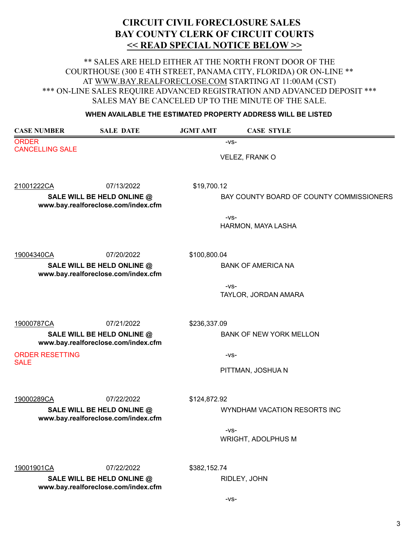\*\* SALES ARE HELD EITHER AT THE NORTH FRONT DOOR OF THE COURTHOUSE (300 E 4TH STREET, PANAMA CITY, FLORIDA) OR ON-LINE \*\* AT WWW.BAY.REALFORECLOSE.COM STARTING AT 11:00AM (CST) \*\*\* ON-LINE SALES REQUIRE ADVANCED REGISTRATION AND ADVANCED DEPOSIT \*\*\* SALES MAY BE CANCELED UP TO THE MINUTE OF THE SALE.

#### **WHEN AVAILABLE THE ESTIMATED PROPERTY ADDRESS WILL BE LISTED**

| <b>CASE NUMBER</b>                                                | <b>SALE DATE</b>                                                  | <b>JGMT AMT</b> | <b>CASE STYLE</b>                        |
|-------------------------------------------------------------------|-------------------------------------------------------------------|-----------------|------------------------------------------|
| <b>ORDER</b>                                                      |                                                                   |                 | $-VS-$                                   |
| <b>CANCELLING SALE</b>                                            |                                                                   |                 | VELEZ, FRANK O                           |
|                                                                   |                                                                   |                 |                                          |
| 21001222CA                                                        | 07/13/2022                                                        | \$19,700.12     |                                          |
| SALE WILL BE HELD ONLINE @<br>www.bay.realforeclose.com/index.cfm |                                                                   |                 | BAY COUNTY BOARD OF COUNTY COMMISSIONERS |
|                                                                   |                                                                   |                 | $-VS-$<br>HARMON, MAYA LASHA             |
| 19004340CA                                                        | 07/20/2022                                                        | \$100,800.04    |                                          |
| SALE WILL BE HELD ONLINE @<br>www.bay.realforeclose.com/index.cfm |                                                                   |                 | <b>BANK OF AMERICA NA</b>                |
|                                                                   |                                                                   |                 | $-VS-$<br>TAYLOR, JORDAN AMARA           |
| 19000787CA                                                        | 07/21/2022                                                        | \$236,337.09    |                                          |
|                                                                   | SALE WILL BE HELD ONLINE @<br>www.bay.realforeclose.com/index.cfm |                 | <b>BANK OF NEW YORK MELLON</b>           |
| <b>ORDER RESETTING</b><br><b>SALE</b>                             |                                                                   |                 | $-VS-$                                   |
|                                                                   |                                                                   |                 | PITTMAN, JOSHUA N                        |
| 19000289CA                                                        | 07/22/2022                                                        | \$124,872.92    |                                          |
| SALE WILL BE HELD ONLINE @<br>www.bay.realforeclose.com/index.cfm |                                                                   |                 | WYNDHAM VACATION RESORTS INC             |
|                                                                   |                                                                   |                 | $-VS-$<br><b>WRIGHT, ADOLPHUS M</b>      |
| 19001901CA                                                        | 07/22/2022                                                        | \$382,152.74    |                                          |
|                                                                   | SALE WILL BE HELD ONLINE @<br>www.bay.realforeclose.com/index.cfm |                 | RIDLEY, JOHN                             |

-vs-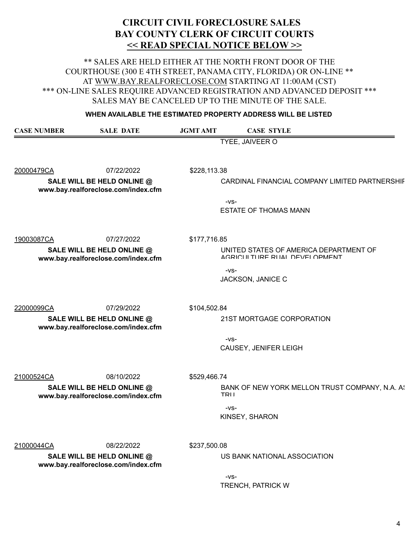\*\* SALES ARE HELD EITHER AT THE NORTH FRONT DOOR OF THE COURTHOUSE (300 E 4TH STREET, PANAMA CITY, FLORIDA) OR ON-LINE \*\* AT WWW.BAY.REALFORECLOSE.COM STARTING AT 11:00AM (CST) \*\*\* ON-LINE SALES REQUIRE ADVANCED REGISTRATION AND ADVANCED DEPOSIT \*\*\* SALES MAY BE CANCELED UP TO THE MINUTE OF THE SALE.

#### **WHEN AVAILABLE THE ESTIMATED PROPERTY ADDRESS WILL BE LISTED**

| <b>CASE NUMBER</b>                                                | <b>SALE DATE</b> | <b>JGMT AMT</b> | <b>CASE STYLE</b>                                                        |
|-------------------------------------------------------------------|------------------|-----------------|--------------------------------------------------------------------------|
|                                                                   |                  |                 | TYEE, JAIVEER O                                                          |
| 20000479CA                                                        | 07/22/2022       | \$228,113.38    |                                                                          |
| SALE WILL BE HELD ONLINE @<br>www.bay.realforeclose.com/index.cfm |                  |                 | CARDINAL FINANCIAL COMPANY LIMITED PARTNERSHIF                           |
|                                                                   |                  |                 | $-VS-$<br><b>ESTATE OF THOMAS MANN</b>                                   |
| 19003087CA                                                        | 07/27/2022       | \$177,716.85    |                                                                          |
| SALE WILL BE HELD ONLINE @<br>www.bay.realforeclose.com/index.cfm |                  |                 | UNITED STATES OF AMERICA DEPARTMENT OF<br>AGRICLII THRE RHAL DEVELOPMENT |
|                                                                   |                  |                 | $-VS-$<br>JACKSON, JANICE C                                              |
| 22000099CA                                                        | 07/29/2022       | \$104,502.84    |                                                                          |
| SALE WILL BE HELD ONLINE @<br>www.bay.realforeclose.com/index.cfm |                  |                 | 21ST MORTGAGE CORPORATION                                                |
|                                                                   |                  |                 | $-VS-$<br>CAUSEY, JENIFER LEIGH                                          |
| 21000524CA                                                        | 08/10/2022       | \$529,466.74    |                                                                          |
| SALE WILL BE HELD ONLINE @<br>www.bay.realforeclose.com/index.cfm |                  |                 | BANK OF NEW YORK MELLON TRUST COMPANY, N.A. A!<br>TRII                   |
|                                                                   |                  |                 | $-VS-$<br>KINSEY, SHARON                                                 |
| 21000044CA                                                        | 08/22/2022       | \$237,500.08    |                                                                          |
| SALE WILL BE HELD ONLINE @<br>www.bay.realforeclose.com/index.cfm |                  |                 | US BANK NATIONAL ASSOCIATION                                             |
|                                                                   |                  |                 | $-VS-$                                                                   |

TRENCH, PATRICK W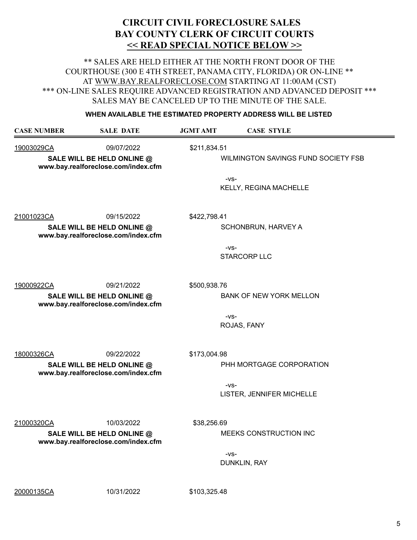\*\* SALES ARE HELD EITHER AT THE NORTH FRONT DOOR OF THE COURTHOUSE (300 E 4TH STREET, PANAMA CITY, FLORIDA) OR ON-LINE \*\* AT WWW.BAY.REALFORECLOSE.COM STARTING AT 11:00AM (CST) \*\*\* ON-LINE SALES REQUIRE ADVANCED REGISTRATION AND ADVANCED DEPOSIT \*\*\* SALES MAY BE CANCELED UP TO THE MINUTE OF THE SALE.

#### **WHEN AVAILABLE THE ESTIMATED PROPERTY ADDRESS WILL BE LISTED**

| <b>CASE NUMBER</b>                                                                            | <b>SALE DATE</b> | <b>JGMT AMT</b> | <b>CASE STYLE</b>                             |
|-----------------------------------------------------------------------------------------------|------------------|-----------------|-----------------------------------------------|
| 19003029CA<br>09/07/2022<br>SALE WILL BE HELD ONLINE @<br>www.bay.realforeclose.com/index.cfm |                  | \$211,834.51    | WILMINGTON SAVINGS FUND SOCIETY FSB<br>$-VS-$ |
|                                                                                               |                  |                 | KELLY, REGINA MACHELLE                        |
| 21001023CA                                                                                    | 09/15/2022       | \$422,798.41    |                                               |
| SALE WILL BE HELD ONLINE @<br>www.bay.realforeclose.com/index.cfm                             |                  |                 | SCHONBRUN, HARVEY A                           |
|                                                                                               |                  |                 | $-VS-$<br><b>STARCORP LLC</b>                 |
| 19000922CA                                                                                    | 09/21/2022       | \$500,938.76    |                                               |
| SALE WILL BE HELD ONLINE @<br>www.bay.realforeclose.com/index.cfm                             |                  |                 | <b>BANK OF NEW YORK MELLON</b>                |
|                                                                                               |                  |                 | $-VS-$<br>ROJAS, FANY                         |
| 18000326CA                                                                                    | 09/22/2022       | \$173,004.98    |                                               |
| SALE WILL BE HELD ONLINE @<br>www.bay.realforeclose.com/index.cfm                             |                  |                 | PHH MORTGAGE CORPORATION                      |
|                                                                                               |                  |                 | $-VS-$<br>LISTER, JENNIFER MICHELLE           |
| 21000320CA                                                                                    | 10/03/2022       | \$38,256.69     |                                               |
| SALE WILL BE HELD ONLINE @<br>www.bay.realforeclose.com/index.cfm                             |                  |                 | MEEKS CONSTRUCTION INC                        |
|                                                                                               |                  |                 | $-VS-$<br>DUNKLIN, RAY                        |

20000135CA 10/31/2022 \$103,325.48